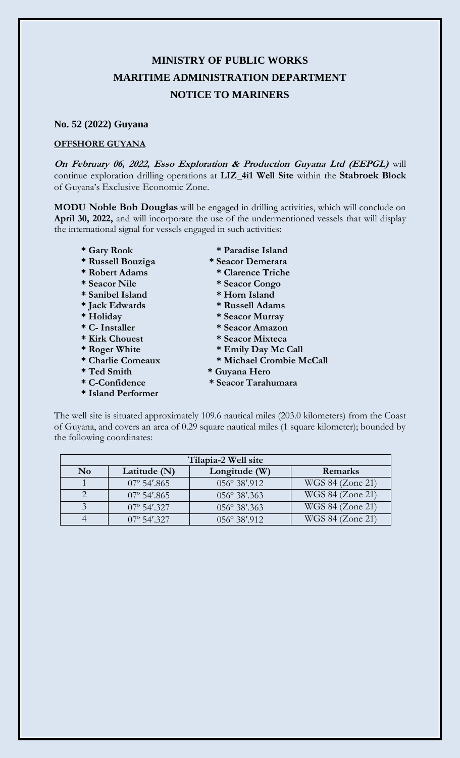## **MINISTRY OF PUBLIC WORKS MARITIME ADMINISTRATION DEPARTMENT NOTICE TO MARINERS**

## **No. 52 (2022) Guyana**

## **OFFSHORE GUYANA**

**On February 06, 2022, Esso Exploration & Production Guyana Ltd (EEPGL)** will continue exploration drilling operations at **LIZ\_4i1 Well Site** within the **Stabroek Block** of Guyana's Exclusive Economic Zone.

**MODU Noble Bob Douglas** will be engaged in drilling activities, which will conclude on **April 30, 2022,** and will incorporate the use of the undermentioned vessels that will display the international signal for vessels engaged in such activities:

- 
- **\* Russell Bouziga \* Seacor Demerara**
- **\* Robert Adams \* Clarence Triche**
- **\* Seacor Nile \* Seacor Congo**
- **\* Sanibel Island \* Horn Island**
- 
- 
- 
- **\* Kirk Chouest \* Seacor Mixteca**
- 
- 
- 
- 
- **\* Island Performer**
- **\* Gary Rook \* Paradise Island**
	-
	-
	-
	-
- **\* Jack Edwards \* Russell Adams**
	-
- **\* Holiday \* Seacor Murray \* C- Installer \* Seacor Amazon**
	-
- **\* Roger White \* Emily Day Mc Call**
- **\* Charlie Comeaux \* Michael Crombie McCall**
- **\* Ted Smith \* Guyana Hero**
- **\* C-Confidence \* Seacor Tarahumara**

The well site is situated approximately 109.6 nautical miles (203.0 kilometers) from the Coast of Guyana, and covers an area of 0.29 square nautical miles (1 square kilometer); bounded by the following coordinates:

| Tilapia-2 Well site    |                      |               |                  |
|------------------------|----------------------|---------------|------------------|
| $\mathbf{N}\mathbf{o}$ | Latitude (N)         | Longitude (W) | Remarks          |
|                        | $07^{\circ}$ 54'.865 | 056° 38'.912  | WGS 84 (Zone 21) |
|                        | $07^{\circ}$ 54'.865 | 056° 38'.363  | WGS 84 (Zone 21) |
|                        | $07^{\circ}$ 54'.327 | 056° 38'.363  | WGS 84 (Zone 21) |
|                        | $07^{\circ}$ 54'.327 | 056° 38'.912  | WGS 84 (Zone 21) |